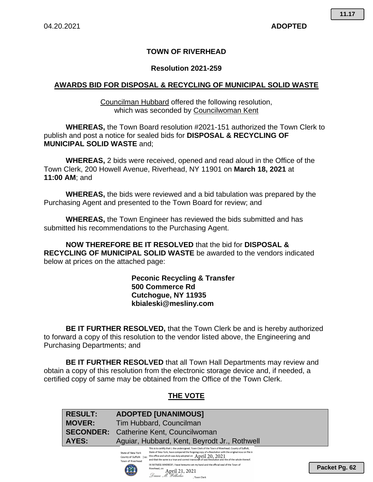**11.17**

## **TOWN OF RIVERHEAD**

#### **Resolution 2021-259**

### **AWARDS BID FOR DISPOSAL & RECYCLING OF MUNICIPAL SOLID WASTE**

Councilman Hubbard offered the following resolution, which was seconded by Councilwoman Kent

**WHEREAS,** the Town Board resolution #2021-151 authorized the Town Clerk to publish and post a notice for sealed bids for **DISPOSAL & RECYCLING OF MUNICIPAL SOLID WASTE** and;

**WHEREAS,** 2 bids were received, opened and read aloud in the Office of the Town Clerk, 200 Howell Avenue, Riverhead, NY 11901 on **March 18, 2021** at **11:00 AM**; and

**WHEREAS,** the bids were reviewed and a bid tabulation was prepared by the Purchasing Agent and presented to the Town Board for review; and

**WHEREAS,** the Town Engineer has reviewed the bids submitted and has submitted his recommendations to the Purchasing Agent.

**NOW THEREFORE BE IT RESOLVED** that the bid for **DISPOSAL & RECYCLING OF MUNICIPAL SOLID WASTE** be awarded to the vendors indicated below at prices on the attached page:

> **Peconic Recycling & Transfer 500 Commerce Rd Cutchogue, NY 11935 kbialeski@mesliny.com**

**BE IT FURTHER RESOLVED,** that the Town Clerk be and is hereby authorized to forward a copy of this resolution to the vendor listed above, the Engineering and Purchasing Departments; and

**BE IT FURTHER RESOLVED** that all Town Hall Departments may review and obtain a copy of this resolution from the electronic storage device and, if needed, a certified copy of same may be obtained from the Office of the Town Clerk.

## **THE VOTE**

| <b>RESULT:</b>   | <b>ADOPTED [UNANIMOUS]</b>                                                                                                                                                                                                                                                                                                                                                                                                                                                                                                                     |  |  |
|------------------|------------------------------------------------------------------------------------------------------------------------------------------------------------------------------------------------------------------------------------------------------------------------------------------------------------------------------------------------------------------------------------------------------------------------------------------------------------------------------------------------------------------------------------------------|--|--|
| <b>MOVER:</b>    | Tim Hubbard, Councilman                                                                                                                                                                                                                                                                                                                                                                                                                                                                                                                        |  |  |
| <b>SECONDER:</b> | Catherine Kent, Councilwoman                                                                                                                                                                                                                                                                                                                                                                                                                                                                                                                   |  |  |
| <b>AYES:</b>     | Aguiar, Hubbard, Kent, Beyrodt Jr., Rothwell                                                                                                                                                                                                                                                                                                                                                                                                                                                                                                   |  |  |
|                  | This is to certify that I, the undersigned, Town Clerk of the Town of Riverhead, County of Suffolk,<br>State of New York, have compared the forgoing copy of a Resolution with the original now on file in<br>State of New York<br>this office and which was duly adopted on $\,$ April 20, 2021<br>County of Suffolk 3ss:<br>and that the same is a true and correct transcript of said Resolution and the of the whole thereof.<br>Town of Riverhead<br>IN WITNESS WHEREOF. I have hereunto set my hand and the official seal of the Town of |  |  |
|                  | וההם                                                                                                                                                                                                                                                                                                                                                                                                                                                                                                                                           |  |  |

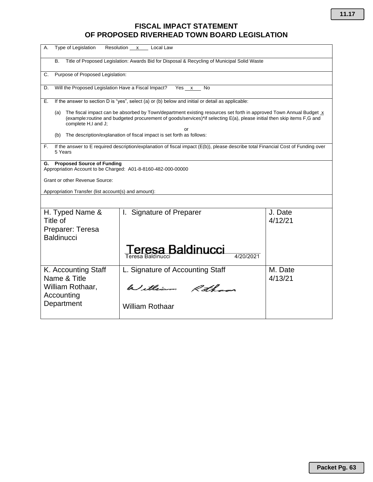# **FISCAL IMPACT STATEMENT OF PROPOSED RIVERHEAD TOWN BOARD LEGISLATION**

| Type of Legislation<br>Resolution x Local Law<br>А.                                                                                                                                                                                                                        |                                                    |                    |  |  |  |
|----------------------------------------------------------------------------------------------------------------------------------------------------------------------------------------------------------------------------------------------------------------------------|----------------------------------------------------|--------------------|--|--|--|
| Title of Proposed Legislation: Awards Bid for Disposal & Recycling of Municipal Solid Waste<br>В.                                                                                                                                                                          |                                                    |                    |  |  |  |
| Purpose of Proposed Legislation:<br>C.                                                                                                                                                                                                                                     |                                                    |                    |  |  |  |
| Will the Proposed Legislation Have a Fiscal Impact?<br>Yes x<br>D.<br>No                                                                                                                                                                                                   |                                                    |                    |  |  |  |
| If the answer to section D is "yes", select (a) or (b) below and initial or detail as applicable:<br>Е.                                                                                                                                                                    |                                                    |                    |  |  |  |
| The fiscal impact can be absorbed by Town/department existing resources set forth in approved Town Annual Budget x<br>(a)<br>(example:routine and budgeted procurement of goods/services)*if selecting E(a), please initial then skip items F,G and<br>complete H,I and J; |                                                    |                    |  |  |  |
| The description/explanation of fiscal impact is set forth as follows:<br>(b)                                                                                                                                                                                               |                                                    |                    |  |  |  |
| If the answer to E required description/explanation of fiscal impact (E(b)), please describe total Financial Cost of Funding over<br>F.<br>5 Years                                                                                                                         |                                                    |                    |  |  |  |
| <b>Proposed Source of Funding</b><br>G.<br>Appropriation Account to be Charged: A01-8-8160-482-000-00000                                                                                                                                                                   |                                                    |                    |  |  |  |
| Grant or other Revenue Source:                                                                                                                                                                                                                                             |                                                    |                    |  |  |  |
| Appropriation Transfer (list account(s) and amount):                                                                                                                                                                                                                       |                                                    |                    |  |  |  |
|                                                                                                                                                                                                                                                                            |                                                    |                    |  |  |  |
| H. Typed Name &<br>Title of                                                                                                                                                                                                                                                | I. Signature of Preparer                           | J. Date<br>4/12/21 |  |  |  |
| Preparer: Teresa<br><b>Baldinucci</b>                                                                                                                                                                                                                                      |                                                    |                    |  |  |  |
|                                                                                                                                                                                                                                                                            | eresa Baldinucci<br>4/20/2021<br>Teresa Baldinucci |                    |  |  |  |
| K. Accounting Staff<br>Name & Title                                                                                                                                                                                                                                        | L. Signature of Accounting Staff                   | M. Date<br>4/13/21 |  |  |  |
| William Rothaar,<br>Accounting                                                                                                                                                                                                                                             | William Rothans                                    |                    |  |  |  |
| Department                                                                                                                                                                                                                                                                 | <b>William Rothaar</b>                             |                    |  |  |  |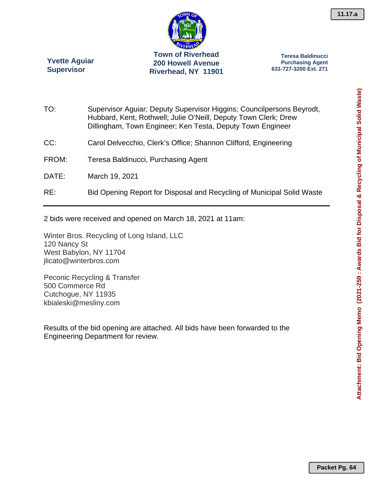

**Teresa Baldinucci Purchasing Agent 631-727-3200 Ext. 271** 

TO: Supervisor Aguiar; Deputy Supervisor Higgins; Councilpersons Beyrodt, Hubbard, Kent, Rothwell; Julie O'Neill, Deputy Town Clerk; Drew Dillingham, Town Engineer; Ken Testa, Deputy Town Engineer CC: Carol Delvecchio, Clerk's Office; Shannon Clifford, Engineering FROM: Teresa Baldinucci, Purchasing Agent DATE: March 19, 2021 RE: Bid Opening Report for Disposal and Recycling of Municipal Solid Waste

2 bids were received and opened on March 18, 2021 at 11am:

Winter Bros. Recycling of Long Island, LLC 120 Nancy St West Babylon, NY 11704 jlicato@winterbros.com

Peconic Recycling & Transfer 500 Commerce Rd Cutchogue, NY 11935 kbialeski@mesliny.com

**Yvette Aguiar Supervisor** 

Results of the bid opening are attached. All bids have been forwarded to the Engineering Department for review.